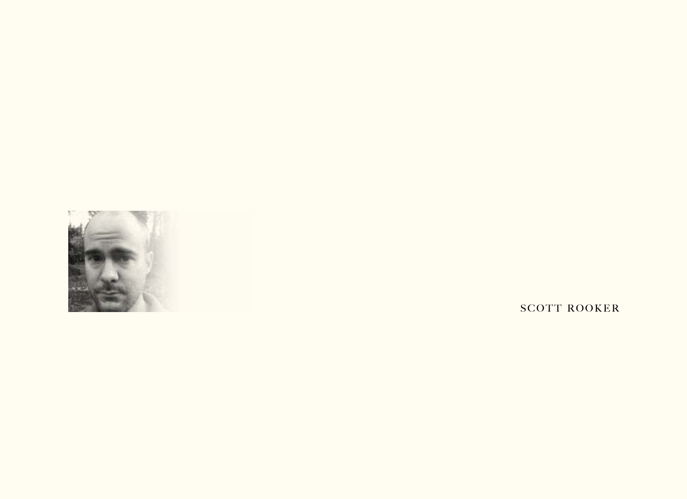

SCOTT ROOKER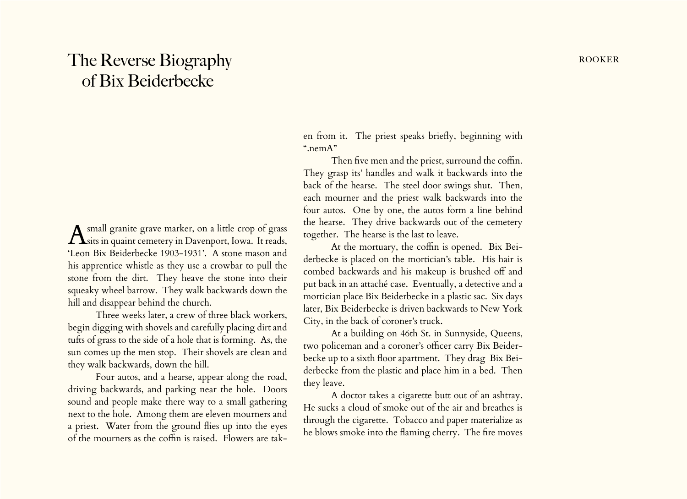## The Reverse Biography **rooker** and the Reverse Biography of Bix Beiderbecke

A small granite grave marker, on a little crop of grass<br>sits in quaint cemetery in Davenport, Iowa. It reads, 'Leon Bix Beiderbecke 1903-1931'. A stone mason and his apprentice whistle as they use a crowbar to pull the stone from the dirt. They heave the stone into their squeaky wheel barrow. They walk backwards down the hill and disappear behind the church.

Three weeks later, a crew of three black workers, begin digging with shovels and carefully placing dirt and tufts of grass to the side of a hole that is forming. As, the sun comes up the men stop. Their shovels are clean and they walk backwards, down the hill.

Four autos, and a hearse, appear along the road, driving backwards, and parking near the hole. Doors sound and people make there way to a small gathering next to the hole. Among them are eleven mourners and a priest. Water from the ground flies up into the eyes of the mourners as the coffin is raised. Flowers are taken from it. The priest speaks briefly, beginning with ".nemA"

Then five men and the priest, surround the coffin. They grasp its' handles and walk it backwards into the back of the hearse. The steel door swings shut. Then, each mourner and the priest walk backwards into the four autos. One by one, the autos form a line behind the hearse. They drive backwards out of the cemetery together. The hearse is the last to leave.

At the mortuary, the coffin is opened. Bix Beiderbecke is placed on the mortician's table. His hair is combed backwards and his makeup is brushed off and put back in an attaché case. Eventually, a detective and a mortician place Bix Beiderbecke in a plastic sac. Six days later, Bix Beiderbecke is driven backwards to New York City, in the back of coroner's truck.

At a building on 46th St. in Sunnyside, Queens, two policeman and a coroner's officer carry Bix Beiderbecke up to a sixth floor apartment. They drag Bix Beiderbecke from the plastic and place him in a bed. Then they leave.

A doctor takes a cigarette butt out of an ashtray. He sucks a cloud of smoke out of the air and breathes is through the cigarette. Tobacco and paper materialize as he blows smoke into the flaming cherry. The fire moves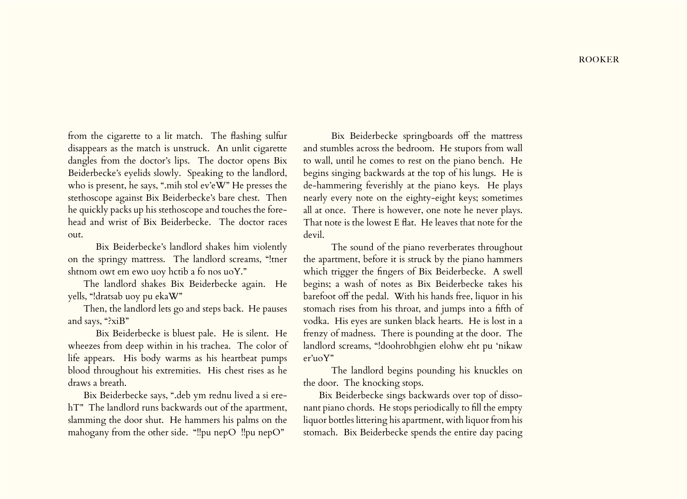from the cigarette to a lit match. The flashing sulfur disappears as the match is unstruck. An unlit cigarette dangles from the doctor's lips. The doctor opens Bix Beiderbecke's eyelids slowly. Speaking to the landlord, who is present, he says, ".mih stol ev'eW" He presses the stethoscope against Bix Beiderbecke's bare chest. Then he quickly packs up his stethoscope and touches the forehead and wrist of Bix Beiderbecke. The doctor races out.

Bix Beiderbecke's landlord shakes him violently on the springy mattress. The landlord screams, "!tner shtnom owt em ewo uoy hctib a fo nos uoY."

The landlord shakes Bix Beiderbecke again. He yells, "!dratsab uoy pu ekaW"

Then, the landlord lets go and steps back. He pauses and says, "?xiB"

Bix Beiderbecke is bluest pale. He is silent. He wheezes from deep within in his trachea. The color of life appears. His body warms as his heartbeat pumps blood throughout his extremities. His chest rises as he draws a breath.

Bix Beiderbecke says, ".deb ym rednu lived a si erehT" The landlord runs backwards out of the apartment, slamming the door shut. He hammers his palms on the mahogany from the other side. "!!pu nepO !!pu nepO"

Bix Beiderbecke springboards off the mattress and stumbles across the bedroom. He stupors from wall to wall, until he comes to rest on the piano bench. He begins singing backwards at the top of his lungs. He is de-hammering feverishly at the piano keys. He plays nearly every note on the eighty-eight keys; sometimes all at once. There is however, one note he never plays. That note is the lowest E flat. He leaves that note for the devil.

The sound of the piano reverberates throughout the apartment, before it is struck by the piano hammers which trigger the fingers of Bix Beiderbecke. A swell begins; a wash of notes as Bix Beiderbecke takes his barefoot off the pedal. With his hands free, liquor in his stomach rises from his throat, and jumps into a fifth of vodka. His eyes are sunken black hearts. He is lost in a frenzy of madness. There is pounding at the door. The landlord screams, "!doohrobhgien elohw eht pu 'nikaw er'uoY"

The landlord begins pounding his knuckles on the door. The knocking stops.

Bix Beiderbecke sings backwards over top of dissonant piano chords. He stops periodically to fill the empty liquor bottles littering his apartment, with liquor from his stomach. Bix Beiderbecke spends the entire day pacing